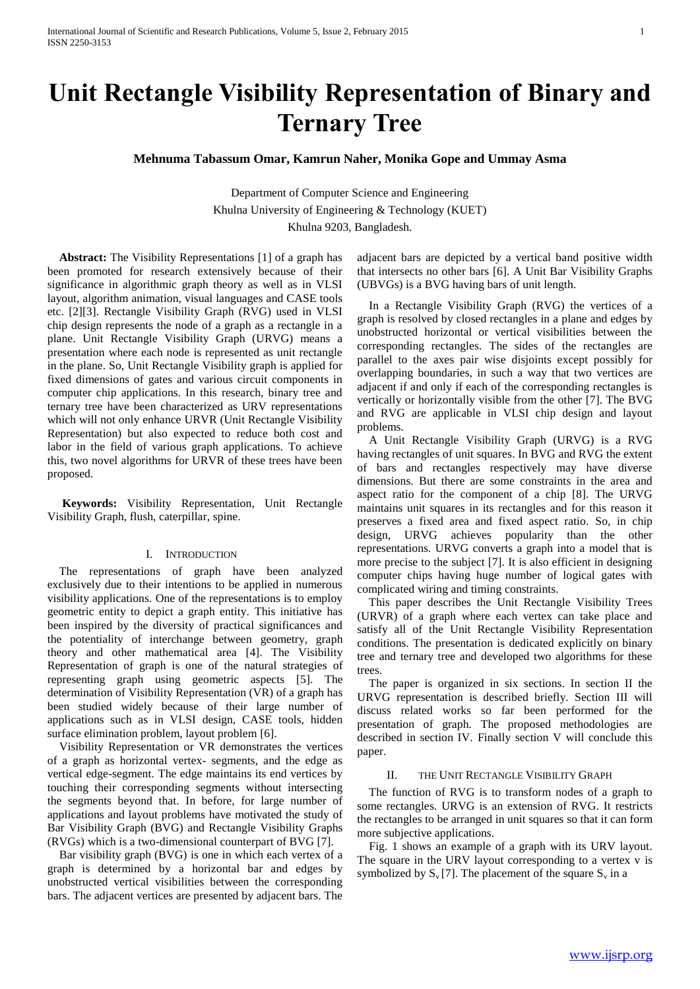# **Unit Rectangle Visibility Representation of Binary and Ternary Tree**

**Mehnuma Tabassum Omar, Kamrun Naher, Monika Gope and Ummay Asma**

Department of Computer Science and Engineering Khulna University of Engineering & Technology (KUET) Khulna 9203, Bangladesh.

 **Abstract:** The Visibility Representations [1] of a graph has been promoted for research extensively because of their significance in algorithmic graph theory as well as in VLSI layout, algorithm animation, visual languages and CASE tools etc. [2][3]. Rectangle Visibility Graph (RVG) used in VLSI chip design represents the node of a graph as a rectangle in a plane. Unit Rectangle Visibility Graph (URVG) means a presentation where each node is represented as unit rectangle in the plane. So, Unit Rectangle Visibility graph is applied for fixed dimensions of gates and various circuit components in computer chip applications. In this research, binary tree and ternary tree have been characterized as URV representations which will not only enhance URVR (Unit Rectangle Visibility Representation) but also expected to reduce both cost and labor in the field of various graph applications. To achieve this, two novel algorithms for URVR of these trees have been proposed.

 **Keywords:** Visibility Representation, Unit Rectangle Visibility Graph, flush, caterpillar, spine.

## I. INTRODUCTION

 The representations of graph have been analyzed exclusively due to their intentions to be applied in numerous visibility applications. One of the representations is to employ geometric entity to depict a graph entity. This initiative has been inspired by the diversity of practical significances and the potentiality of interchange between geometry, graph theory and other mathematical area [4]. The Visibility Representation of graph is one of the natural strategies of representing graph using geometric aspects [5]. The determination of Visibility Representation (VR) of a graph has been studied widely because of their large number of applications such as in VLSI design, CASE tools, hidden surface elimination problem, layout problem [6].

 Visibility Representation or VR demonstrates the vertices of a graph as horizontal vertex- segments, and the edge as vertical edge-segment. The edge maintains its end vertices by touching their corresponding segments without intersecting the segments beyond that. In before, for large number of applications and layout problems have motivated the study of Bar Visibility Graph (BVG) and Rectangle Visibility Graphs (RVGs) which is a two-dimensional counterpart of BVG [7].

 Bar visibility graph (BVG) is one in which each vertex of a graph is determined by a horizontal bar and edges by unobstructed vertical visibilities between the corresponding bars. The adjacent vertices are presented by adjacent bars. The

adjacent bars are depicted by a vertical band positive width that intersects no other bars [6]. A Unit Bar Visibility Graphs (UBVGs) is a BVG having bars of unit length.

 In a Rectangle Visibility Graph (RVG) the vertices of a graph is resolved by closed rectangles in a plane and edges by unobstructed horizontal or vertical visibilities between the corresponding rectangles. The sides of the rectangles are parallel to the axes pair wise disjoints except possibly for overlapping boundaries, in such a way that two vertices are adjacent if and only if each of the corresponding rectangles is vertically or horizontally visible from the other [7]. The BVG and RVG are applicable in VLSI chip design and layout problems.

 A Unit Rectangle Visibility Graph (URVG) is a RVG having rectangles of unit squares. In BVG and RVG the extent of bars and rectangles respectively may have diverse dimensions. But there are some constraints in the area and aspect ratio for the component of a chip [8]. The URVG maintains unit squares in its rectangles and for this reason it preserves a fixed area and fixed aspect ratio. So, in chip design, URVG achieves popularity than the other representations. URVG converts a graph into a model that is more precise to the subject [7]. It is also efficient in designing computer chips having huge number of logical gates with complicated wiring and timing constraints.

 This paper describes the Unit Rectangle Visibility Trees (URVR) of a graph where each vertex can take place and satisfy all of the Unit Rectangle Visibility Representation conditions. The presentation is dedicated explicitly on binary tree and ternary tree and developed two algorithms for these trees.

 The paper is organized in six sections. In section II the URVG representation is described briefly. Section III will discuss related works so far been performed for the presentation of graph. The proposed methodologies are described in section IV. Finally section V will conclude this paper.

## II. THE UNIT RECTANGLE VISIBILITY GRAPH

 The function of RVG is to transform nodes of a graph to some rectangles. URVG is an extension of RVG. It restricts the rectangles to be arranged in unit squares so that it can form more subjective applications.

 Fig. 1 shows an example of a graph with its URV layout. The square in the URV layout corresponding to a vertex v is symbolized by  $S_v[7]$ . The placement of the square  $S_v$  in a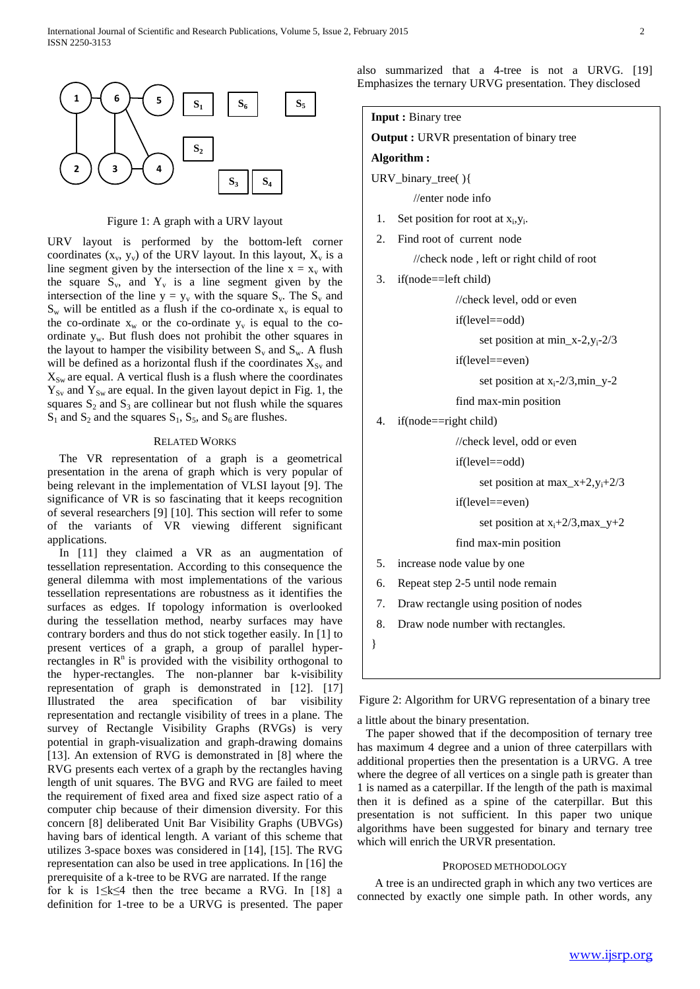

Figure 1: A graph with a URV layout

URV layout is performed by the bottom-left corner coordinates  $(x_v, y_v)$  of the URV layout. In this layout,  $X_v$  is a line segment given by the intersection of the line  $x = x_v$  with the square  $S_v$ , and  $Y_v$  is a line segment given by the intersection of the line  $y = y_v$  with the square  $S_v$ . The  $S_v$  and  $S_w$  will be entitled as a flush if the co-ordinate  $x_v$  is equal to the co-ordinate  $x_w$  or the co-ordinate  $y_v$  is equal to the coordinate yw. But flush does not prohibit the other squares in the layout to hamper the visibility between  $S_v$  and  $S_w$ . A flush will be defined as a horizontal flush if the coordinates  $X_{S_v}$  and  $X_{\text{Sw}}$  are equal. A vertical flush is a flush where the coordinates  $Y_{Sv}$  and  $Y_{Sw}$  are equal. In the given layout depict in Fig. 1, the squares  $S_2$  and  $S_3$  are collinear but not flush while the squares  $S_1$  and  $S_2$  and the squares  $S_1$ ,  $S_5$ , and  $S_6$  are flushes.

## RELATED WORKS

 The VR representation of a graph is a geometrical presentation in the arena of graph which is very popular of being relevant in the implementation of VLSI layout [9]. The significance of VR is so fascinating that it keeps recognition of several researchers [9] [10]. This section will refer to some of the variants of VR viewing different significant applications.

 In [11] they claimed a VR as an augmentation of tessellation representation. According to this consequence the general dilemma with most implementations of the various tessellation representations are robustness as it identifies the surfaces as edges. If topology information is overlooked during the tessellation method, nearby surfaces may have contrary borders and thus do not stick together easily. In [1] to present vertices of a graph, a group of parallel hyperrectangles in  $R<sup>n</sup>$  is provided with the visibility orthogonal to the hyper-rectangles. The non-planner bar k-visibility representation of graph is demonstrated in [12]. [17] Illustrated the area specification of bar visibility representation and rectangle visibility of trees in a plane. The survey of Rectangle Visibility Graphs (RVGs) is very potential in graph-visualization and graph-drawing domains [13]. An extension of RVG is demonstrated in [8] where the RVG presents each vertex of a graph by the rectangles having length of unit squares. The BVG and RVG are failed to meet the requirement of fixed area and fixed size aspect ratio of a computer chip because of their dimension diversity. For this concern [8] deliberated Unit Bar Visibility Graphs (UBVGs) having bars of identical length. A variant of this scheme that utilizes 3-space boxes was considered in [14], [15]. The RVG representation can also be used in tree applications. In [16] the prerequisite of a k-tree to be RVG are narrated. If the range for k is  $1 \leq k \leq 4$  then the tree became a RVG. In [18] a definition for 1-tree to be a URVG is presented. The paper

also summarized that a 4-tree is not a URVG. [19] Emphasizes the ternary URVG presentation. They disclosed

**Input :** Binary tree

**Output :** URVR presentation of binary tree

#### **Algorithm :**

URV\_binary\_tree( ){

//enter node info

- 1. Set position for root at  $x_i, y_i$ .
- 2. Find root of current node

//check node , left or right child of root

3. if(node==left child)

//check level, odd or even

if(level==odd)

set position at min\_x-2, $y_i$ -2/3

if(level==even)

set position at  $x_i-2/3$ , min\_y-2

find max-min position

4. if(node==right child)

//check level, odd or even

if(level==odd)

set position at max $x+2$ ,  $y+2/3$ 

if(level==even)

set position at  $x_i+2/3$ , max\_y+2

find max-min position

5. increase node value by one

6. Repeat step 2-5 until node remain

7. Draw rectangle using position of nodes

8. Draw node number with rectangles.

}

Figure 2: Algorithm for URVG representation of a binary tree

a little about the binary presentation.

 The paper showed that if the decomposition of ternary tree has maximum 4 degree and a union of three caterpillars with additional properties then the presentation is a URVG. A tree where the degree of all vertices on a single path is greater than 1 is named as a caterpillar. If the length of the path is maximal then it is defined as a spine of the caterpillar. But this presentation is not sufficient. In this paper two unique algorithms have been suggested for binary and ternary tree which will enrich the URVR presentation.

## PROPOSED METHODOLOGY

 A tree is an undirected graph in which any two vertices are connected by exactly one simple path. In other words, any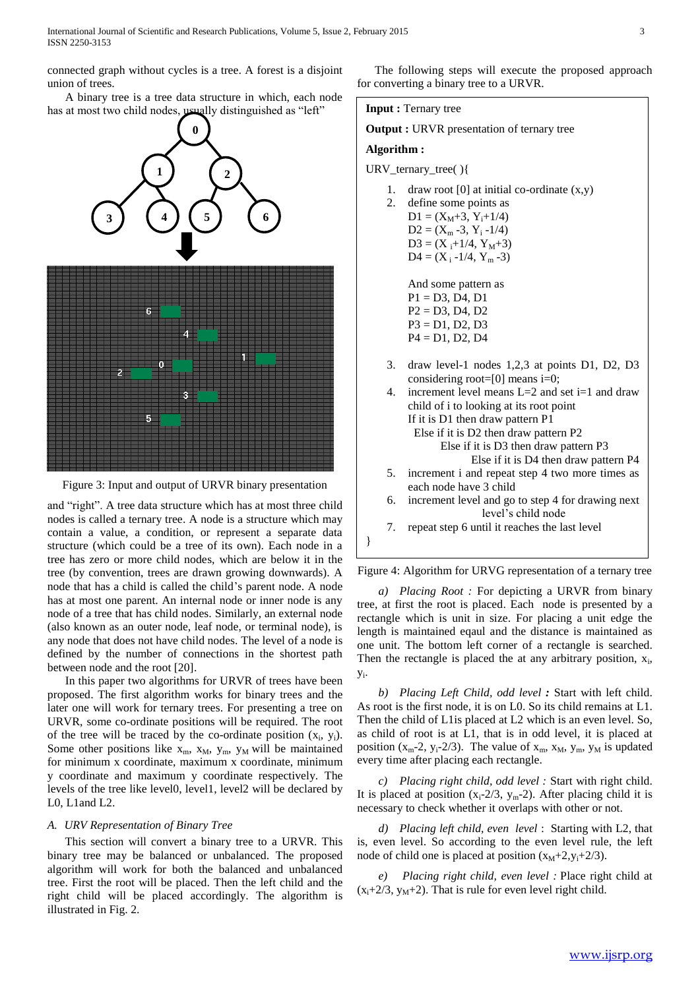connected graph without cycles is a tree. A forest is a disjoint union of trees.

 A binary tree is a tree data structure in which, each node has at most two child nodes, usually distinguished as "left"



Figure 3: Input and output of URVR binary presentation

and "right". A tree data structure which has at most three child nodes is called a ternary tree. A node is a structure which may contain a value, a condition, or represent a separate data structure (which could be a tree of its own). Each node in a tree has zero or more child nodes, which are below it in the tree (by convention, trees are drawn growing downwards). A node that has a child is called the child's parent node. A node has at most one parent. An internal node or inner node is any node of a tree that has child nodes. Similarly, an external node (also known as an outer node, leaf node, or terminal node), is any node that does not have child nodes. The level of a node is defined by the number of connections in the shortest path between node and the root [20].

 In this paper two algorithms for URVR of trees have been proposed. The first algorithm works for binary trees and the later one will work for ternary trees. For presenting a tree on URVR, some co-ordinate positions will be required. The root of the tree will be traced by the co-ordinate position  $(x_i, y_i)$ . Some other positions like  $x_m$ ,  $x_M$ ,  $y_m$ ,  $y_M$  will be maintained for minimum x coordinate, maximum x coordinate, minimum y coordinate and maximum y coordinate respectively. The levels of the tree like level0, level1, level2 will be declared by L0, L1and L2.

## *A. URV Representation of Binary Tree*

 This section will convert a binary tree to a URVR. This binary tree may be balanced or unbalanced. The proposed algorithm will work for both the balanced and unbalanced tree. First the root will be placed. Then the left child and the right child will be placed accordingly. The algorithm is illustrated in Fig. 2.

 The following steps will execute the proposed approach for converting a binary tree to a URVR.



**Output :** URVR presentation of ternary tree

## **Algorithm :**

- URV\_ternary\_tree( ){
	- 1. draw root [0] at initial co-ordinate  $(x,y)$
	- 2. define some points as  $D1 = (X_M + 3, Y_i + 1/4)$  $D2 = (X_m - 3, Y_i - 1/4)$  $D3 = (X_i+1/4, Y_M+3)$  $D4 = (X_i - 1/4, Y_m - 3)$

And some pattern as P1 = D3, D4, D1  $P2 = D3, D4, D2$  $P3 = D1, D2, D3$  $P4 = D1, D2, D4$ 

- 3. draw level-1 nodes 1,2,3 at points D1, D2, D3 considering root=[0] means i=0;
- 4. increment level means L=2 and set i=1 and draw child of i to looking at its root point If it is D1 then draw pattern P1 Else if it is D2 then draw pattern P2 Else if it is D3 then draw pattern P3 Else if it is D4 then draw pattern P4 5. increment i and repeat step 4 two more times as each node have 3 child 6. increment level and go to step 4 for drawing next level's child node
- 7. repeat step 6 until it reaches the last level

}

Figure 4: Algorithm for URVG representation of a ternary tree

*a) Placing Root :* For depicting a URVR from binary tree, at first the root is placed. Each node is presented by a rectangle which is unit in size. For placing a unit edge the length is maintained eqaul and the distance is maintained as one unit. The bottom left corner of a rectangle is searched. Then the rectangle is placed the at any arbitrary position,  $x_i$ , yi .

*b) Placing Left Child, odd level :* Start with left child. As root is the first node, it is on L0. So its child remains at L1. Then the child of L1is placed at L2 which is an even level. So, as child of root is at L1, that is in odd level, it is placed at position ( $x_m$ -2,  $y_i$ -2/3). The value of  $x_m$ ,  $x_M$ ,  $y_m$ ,  $y_M$  is updated every time after placing each rectangle.

*c) Placing right child, odd level :* Start with right child. It is placed at position  $(x_i-2/3, y_m-2)$ . After placing child it is necessary to check whether it overlaps with other or not.

*d) Placing left child, even level* :Starting with L2, that is, even level. So according to the even level rule, the left node of child one is placed at position  $(x_M+2,y_i+2/3)$ .

*e) Placing right child, even level :* Place right child at  $(x_i+2/3, y_M+2)$ . That is rule for even level right child.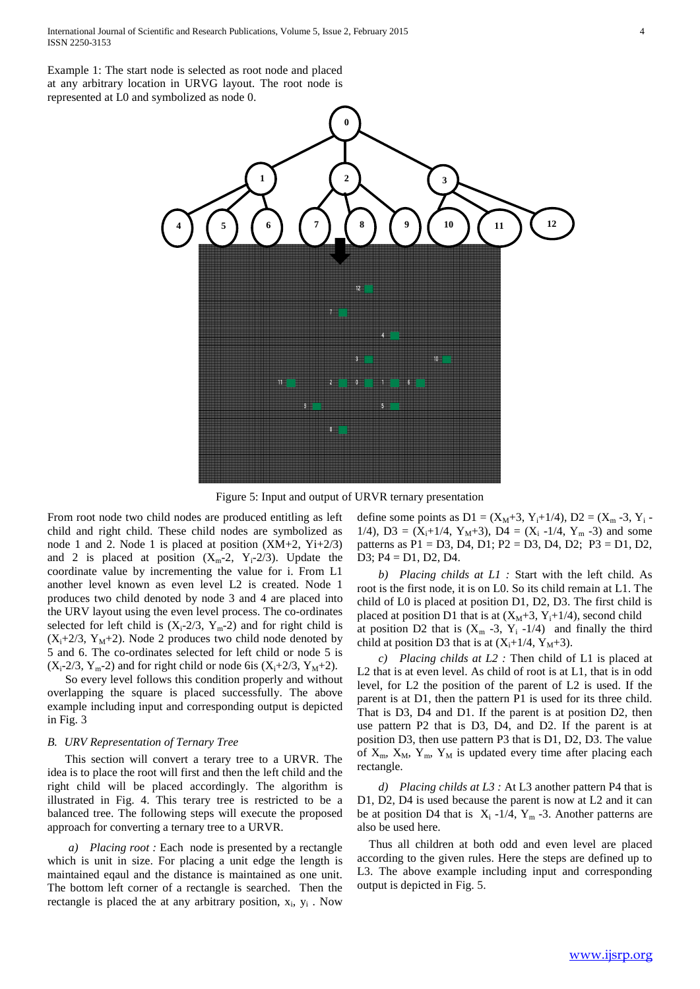Example 1: The start node is selected as root node and placed at any arbitrary location in URVG layout*.* The root node is represented at L0 and symbolized as node 0.



Figure 5: Input and output of URVR ternary presentation

From root node two child nodes are produced entitling as left child and right child. These child nodes are symbolized as node 1 and 2. Node 1 is placed at position (XM+2, Yi+2/3) and 2 is placed at position  $(X_m-2, Y_i-2/3)$ . Update the coordinate value by incrementing the value for i. From L1 another level known as even level L2 is created. Node 1 produces two child denoted by node 3 and 4 are placed into the URV layout using the even level process. The co-ordinates selected for left child is  $(X_i-2/3, Y_m-2)$  and for right child is  $(X_i+2/3, Y_M+2)$ . Node 2 produces two child node denoted by 5 and 6. The co-ordinates selected for left child or node 5 is  $(X_i-2/3, Y_m-2)$  and for right child or node 6is  $(X_i+2/3, Y_m+2)$ .

 So every level follows this condition properly and without overlapping the square is placed successfully. The above example including input and corresponding output is depicted in Fig. 3

## *B. URV Representation of Ternary Tree*

 This section will convert a terary tree to a URVR. The idea is to place the root will first and then the left child and the right child will be placed accordingly*.* The algorithm is illustrated in Fig. 4. This terary tree is restricted to be a balanced tree. The following steps will execute the proposed approach for converting a ternary tree to a URVR.

*a) Placing root :* Each node is presented by a rectangle which is unit in size. For placing a unit edge the length is maintained eqaul and the distance is maintained as one unit. The bottom left corner of a rectangle is searched. Then the rectangle is placed the at any arbitrary position,  $x_i$ ,  $y_i$ . Now define some points as  $D1 = (X_M + 3, Y_i + 1/4), D2 = (X_m - 3, Y_i -$ 1/4), D3 =  $(X_i+1/4, Y_M+3)$ , D4 =  $(X_i-1/4, Y_m-3)$  and some patterns as P1 = D3, D4, D1; P2 = D3, D4, D2; P3 = D1, D2, D3; P4 = D1, D2, D4.

*b) Placing childs at L1 :* Start with the left child. As root is the first node, it is on L0. So its child remain at L1. The child of L0 is placed at position D1, D2, D3. The first child is placed at position D1 that is at  $(X_M+3, Y_i+1/4)$ , second child at position D2 that is  $(X_m -3, Y_i -1/4)$  and finally the third child at position D3 that is at  $(X_i+1/4, Y_M+3)$ .

*c) Placing childs at L2 :* Then child of L1 is placed at L2 that is at even level. As child of root is at L1, that is in odd level, for L2 the position of the parent of L2 is used. If the parent is at D1, then the pattern P1 is used for its three child. That is D3, D4 and D1. If the parent is at position D2, then use pattern P2 that is D3, D4, and D2. If the parent is at position D3, then use pattern P3 that is D1, D2, D3. The value of  $X_m$ ,  $X_M$ ,  $Y_m$ ,  $Y_M$  is updated every time after placing each rectangle.

*d) Placing childs at L3 :* At L3 another pattern P4 that is D1, D2, D4 is used because the parent is now at L2 and it can be at position D4 that is  $X_i -1/4$ ,  $Y_m -3$ . Another patterns are also be used here.

 Thus all children at both odd and even level are placed according to the given rules. Here the steps are defined up to L3. The above example including input and corresponding output is depicted in Fig. 5.